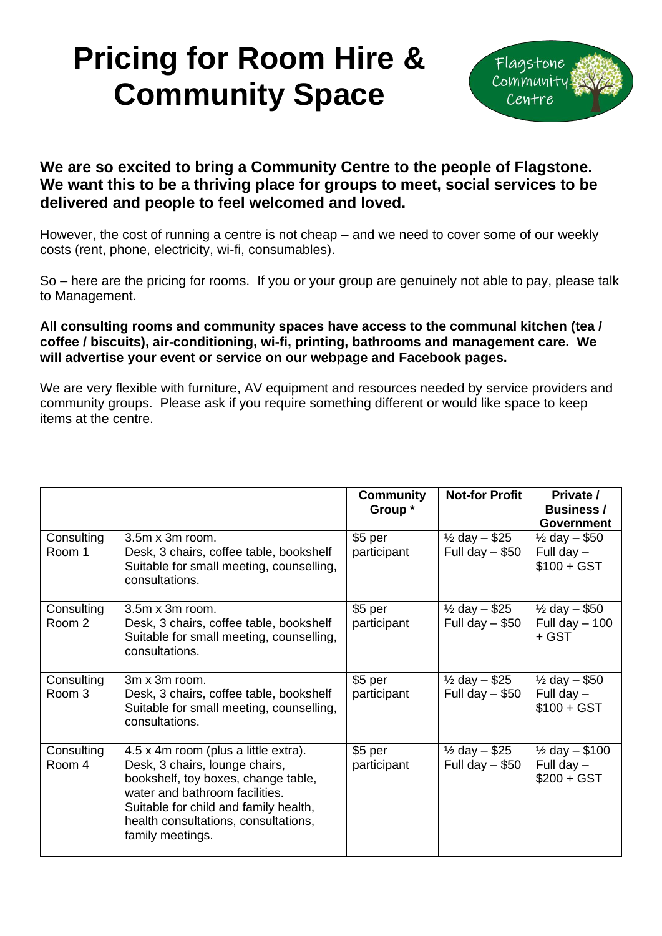## **Pricing for Room Hire & Community Space**



## **We are so excited to bring a Community Centre to the people of Flagstone. We want this to be a thriving place for groups to meet, social services to be delivered and people to feel welcomed and loved.**

However, the cost of running a centre is not cheap – and we need to cover some of our weekly costs (rent, phone, electricity, wi-fi, consumables).

So – here are the pricing for rooms. If you or your group are genuinely not able to pay, please talk to Management.

## **All consulting rooms and community spaces have access to the communal kitchen (tea / coffee / biscuits), air-conditioning, wi-fi, printing, bathrooms and management care. We will advertise your event or service on our webpage and Facebook pages.**

We are very flexible with furniture, AV equipment and resources needed by service providers and community groups. Please ask if you require something different or would like space to keep items at the centre.

|                      |                                                                                                                                                                                                                                                      | Community<br>Group *    | <b>Not-for Profit</b>                           | Private /<br><b>Business/</b><br><b>Government</b>          |
|----------------------|------------------------------------------------------------------------------------------------------------------------------------------------------------------------------------------------------------------------------------------------------|-------------------------|-------------------------------------------------|-------------------------------------------------------------|
| Consulting<br>Room 1 | $3.5m \times 3m$ room.<br>Desk, 3 chairs, coffee table, bookshelf<br>Suitable for small meeting, counselling,<br>consultations.                                                                                                                      | $$5$ per<br>participant | $\frac{1}{2}$ day $-$ \$25<br>Full day $-$ \$50 | $\frac{1}{2}$ day - \$50<br>Full day $-$<br>$$100 + GST$    |
| Consulting<br>Room 2 | $3.5m \times 3m$ room.<br>Desk, 3 chairs, coffee table, bookshelf<br>Suitable for small meeting, counselling,<br>consultations.                                                                                                                      | \$5 per<br>participant  | $\frac{1}{2}$ day – \$25<br>Full day $-$ \$50   | $\frac{1}{2}$ day $-$ \$50<br>Full day $-100$<br>+ GST      |
| Consulting<br>Room 3 | 3m x 3m room.<br>Desk, 3 chairs, coffee table, bookshelf<br>Suitable for small meeting, counselling,<br>consultations.                                                                                                                               | $$5$ per<br>participant | $\frac{1}{2}$ day $-$ \$25<br>Full day $-$ \$50 | $\frac{1}{2}$ day $-$ \$50<br>Full day $-$<br>$$100 + GST$  |
| Consulting<br>Room 4 | 4.5 x 4m room (plus a little extra).<br>Desk, 3 chairs, lounge chairs,<br>bookshelf, toy boxes, change table,<br>water and bathroom facilities.<br>Suitable for child and family health,<br>health consultations, consultations,<br>family meetings. | \$5 per<br>participant  | $\frac{1}{2}$ day - \$25<br>Full day $-$ \$50   | $\frac{1}{2}$ day $-$ \$100<br>Full day $-$<br>$$200 + GST$ |